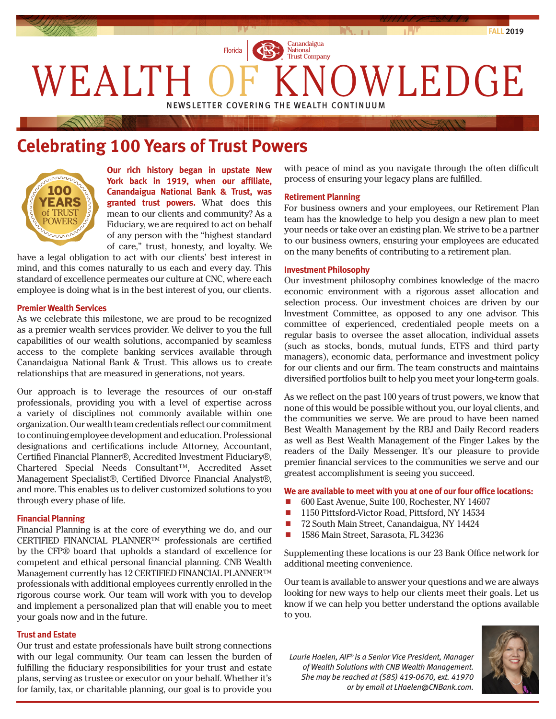

# **Celebrating 100 Years of Trust Powers**



**Our rich history began in upstate New York back in 1919, when our affiliate, Canandaigua National Bank & Trust, was granted trust powers.** What does this mean to our clients and community? As a Fiduciary, we are required to act on behalf of any person with the "highest standard of care," trust, honesty, and loyalty. We

have a legal obligation to act with our clients' best interest in mind, and this comes naturally to us each and every day. This standard of excellence permeates our culture at CNC, where each employee is doing what is in the best interest of you, our clients.

### **Premier Wealth Services**

As we celebrate this milestone, we are proud to be recognized as a premier wealth services provider. We deliver to you the full capabilities of our wealth solutions, accompanied by seamless access to the complete banking services available through Canandaigua National Bank & Trust. This allows us to create relationships that are measured in generations, not years.

Our approach is to leverage the resources of our on-staff professionals, providing you with a level of expertise across a variety of disciplines not commonly available within one organization. Our wealth team credentials reflect our commitment to continuing employee development and education. Professional designations and certifications include Attorney, Accountant, Certified Financial Planner®, Accredited Investment Fiduciary®, Chartered Special Needs Consultant™, Accredited Asset Management Specialist®, Certified Divorce Financial Analyst®, and more. This enables us to deliver customized solutions to you through every phase of life.

#### **Financial Planning**

Financial Planning is at the core of everything we do, and our CERTIFIED FINANCIAL PLANNER™ professionals are certified by the CFP® board that upholds a standard of excellence for competent and ethical personal financial planning. CNB Wealth Management currently has 12 CERTIFIED FINANCIAL PLANNER™ professionals with additional employees currently enrolled in the rigorous course work. Our team will work with you to develop and implement a personalized plan that will enable you to meet your goals now and in the future.

#### **Trust and Estate**

Our trust and estate professionals have built strong connections with our legal community. Our team can lessen the burden of fulfilling the fiduciary responsibilities for your trust and estate plans, serving as trustee or executor on your behalf. Whether it's for family, tax, or charitable planning, our goal is to provide you with peace of mind as you navigate through the often difficult process of ensuring your legacy plans are fulfilled.

#### **Retirement Planning**

For business owners and your employees, our Retirement Plan team has the knowledge to help you design a new plan to meet your needs or take over an existing plan. We strive to be a partner to our business owners, ensuring your employees are educated on the many benefits of contributing to a retirement plan.

#### **Investment Philosophy**

Our investment philosophy combines knowledge of the macro economic environment with a rigorous asset allocation and selection process. Our investment choices are driven by our Investment Committee, as opposed to any one advisor. This committee of experienced, credentialed people meets on a regular basis to oversee the asset allocation, individual assets (such as stocks, bonds, mutual funds, ETFS and third party managers), economic data, performance and investment policy for our clients and our firm. The team constructs and maintains diversified portfolios built to help you meet your long-term goals.

As we reflect on the past 100 years of trust powers, we know that none of this would be possible without you, our loyal clients, and the communities we serve. We are proud to have been named Best Wealth Management by the RBJ and Daily Record readers as well as Best Wealth Management of the Finger Lakes by the readers of the Daily Messenger. It's our pleasure to provide premier financial services to the communities we serve and our greatest accomplishment is seeing you succeed.

#### **We are available to meet with you at one of our four office locations:**

- 600 East Avenue, Suite 100, Rochester, NY 14607
- 1150 Pittsford-Victor Road, Pittsford, NY 14534
- 72 South Main Street, Canandaigua, NY 14424
- 1586 Main Street, Sarasota, FL 34236

Supplementing these locations is our 23 Bank Office network for additional meeting convenience.

Our team is available to answer your questions and we are always looking for new ways to help our clients meet their goals. Let us know if we can help you better understand the options available to you.